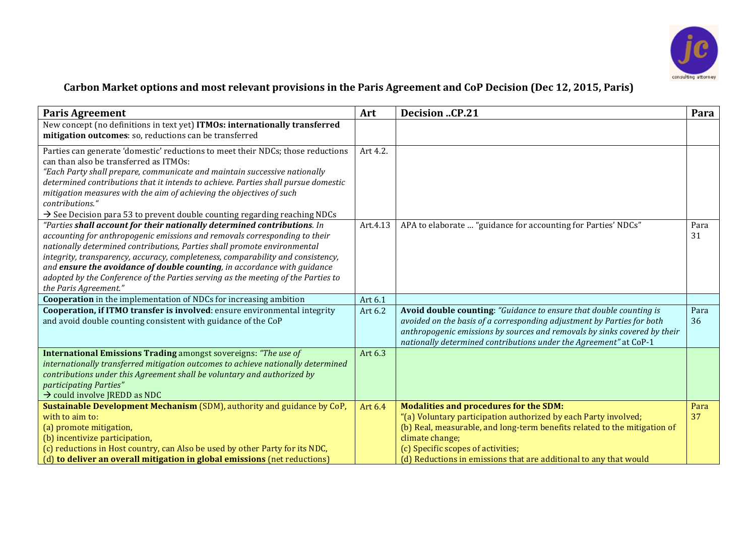

## Carbon Market options and most relevant provisions in the Paris Agreement and CoP Decision (Dec 12, 2015, Paris)

| <b>Paris Agreement</b>                                                                                                                                          | Art      | <b>Decision CP.21</b>                                                     | Para |
|-----------------------------------------------------------------------------------------------------------------------------------------------------------------|----------|---------------------------------------------------------------------------|------|
| New concept (no definitions in text yet) ITMOs: internationally transferred<br>mitigation outcomes: so, reductions can be transferred                           |          |                                                                           |      |
|                                                                                                                                                                 |          |                                                                           |      |
| Parties can generate 'domestic' reductions to meet their NDCs; those reductions<br>can than also be transferred as ITMOs:                                       | Art 4.2. |                                                                           |      |
|                                                                                                                                                                 |          |                                                                           |      |
| "Each Party shall prepare, communicate and maintain successive nationally<br>determined contributions that it intends to achieve. Parties shall pursue domestic |          |                                                                           |      |
| mitigation measures with the aim of achieving the objectives of such                                                                                            |          |                                                                           |      |
| contributions."                                                                                                                                                 |          |                                                                           |      |
| $\rightarrow$ See Decision para 53 to prevent double counting regarding reaching NDCs                                                                           |          |                                                                           |      |
| "Parties shall account for their nationally determined contributions. In                                                                                        | Art.4.13 | APA to elaborate  "guidance for accounting for Parties' NDCs"             | Para |
| accounting for anthropogenic emissions and removals corresponding to their                                                                                      |          |                                                                           | 31   |
| nationally determined contributions, Parties shall promote environmental                                                                                        |          |                                                                           |      |
| integrity, transparency, accuracy, completeness, comparability and consistency,                                                                                 |          |                                                                           |      |
| and ensure the avoidance of double counting, in accordance with guidance                                                                                        |          |                                                                           |      |
| adopted by the Conference of the Parties serving as the meeting of the Parties to                                                                               |          |                                                                           |      |
| the Paris Agreement."                                                                                                                                           |          |                                                                           |      |
| <b>Cooperation</b> in the implementation of NDCs for increasing ambition                                                                                        | Art 6.1  |                                                                           |      |
| Cooperation, if ITMO transfer is involved: ensure environmental integrity                                                                                       | Art 6.2  | Avoid double counting: "Guidance to ensure that double counting is        | Para |
| and avoid double counting consistent with guidance of the CoP                                                                                                   |          | avoided on the basis of a corresponding adjustment by Parties for both    | 36   |
|                                                                                                                                                                 |          | anthropogenic emissions by sources and removals by sinks covered by their |      |
|                                                                                                                                                                 |          | nationally determined contributions under the Agreement" at CoP-1         |      |
| <b>International Emissions Trading amongst sovereigns: "The use of</b>                                                                                          | Art 6.3  |                                                                           |      |
| internationally transferred mitigation outcomes to achieve nationally determined                                                                                |          |                                                                           |      |
| contributions under this Agreement shall be voluntary and authorized by<br>participating Parties"                                                               |          |                                                                           |      |
| $\rightarrow$ could involve JREDD as NDC                                                                                                                        |          |                                                                           |      |
| Sustainable Development Mechanism (SDM), authority and guidance by CoP,                                                                                         | Art 6.4  | <b>Modalities and procedures for the SDM:</b>                             | Para |
| with to aim to:                                                                                                                                                 |          | "(a) Voluntary participation authorized by each Party involved;           | 37   |
| (a) promote mitigation,                                                                                                                                         |          | (b) Real, measurable, and long-term benefits related to the mitigation of |      |
| (b) incentivize participation,                                                                                                                                  |          | climate change;                                                           |      |
| (c) reductions in Host country, can Also be used by other Party for its NDC,                                                                                    |          | (c) Specific scopes of activities;                                        |      |
| (d) to deliver an overall mitigation in global emissions (net reductions)                                                                                       |          | (d) Reductions in emissions that are additional to any that would         |      |